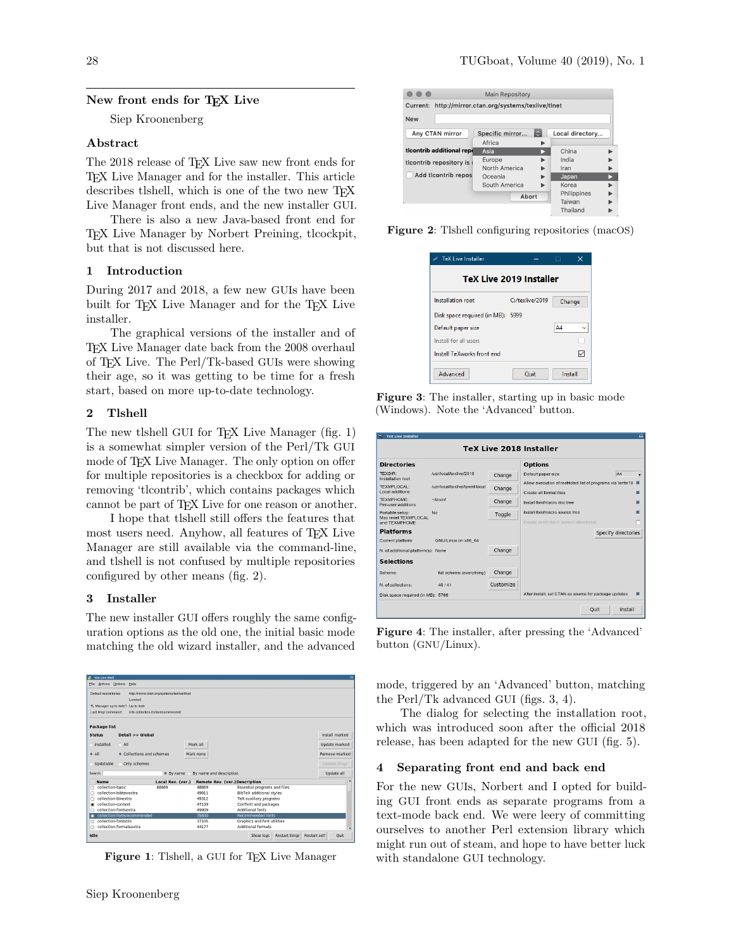# New front ends for T<sub>F</sub>X Live

Siep Kroonenberg

#### Abstract

The 2018 release of T<sub>E</sub>X Live saw new front ends for TEX Live Manager and for the installer. This article describes tlshell, which is one of the two new TEX Live Manager front ends, and the new installer GUI.

There is also a new Java-based front end for TEX Live Manager by Norbert Preining, tlcockpit, but that is not discussed here.

#### 1 Introduction

During 2017 and 2018, a few new GUIs have been built for TEX Live Manager and for the TEX Live installer.

The graphical versions of the installer and of TEX Live Manager date back from the 2008 overhaul of TEX Live. The Perl/Tk-based GUIs were showing their age, so it was getting to be time for a fresh start, based on more up-to-date technology.

# 2 Tlshell

The new tlshell GUI for T<sub>EX</sub> Live Manager (fig. 1) is a somewhat simpler version of the Perl/Tk GUI mode of TEX Live Manager. The only option on offer for multiple repositories is a checkbox for adding or removing 'tlcontrib', which contains packages which cannot be part of T<sub>F</sub>X Live for one reason or another.

I hope that tlshell still offers the features that most users need. Anyhow, all features of TEX Live Manager are still available via the command-line, and tlshell is not confused by multiple repositories configured by other means (fig. 2).

#### 3 Installer

The new installer GUI offers roughly the same configuration options as the old one, the initial basic mode matching the old wizard installer, and the advanced

|                                      | <b>TeX Live Shell</b>             |                                              |                         |                                       |                             |
|--------------------------------------|-----------------------------------|----------------------------------------------|-------------------------|---------------------------------------|-----------------------------|
| File                                 | Actions Options<br>Help           |                                              |                         |                                       |                             |
| Default repositories                 |                                   | http://mirror.ctan.org/systems/textive/tinet |                         |                                       |                             |
|                                      |                                   | Loaded                                       |                         |                                       |                             |
|                                      | TL Manager up to date? Up to date |                                              |                         |                                       |                             |
| Last timor command:                  |                                   | info collection, fontsrecommended            |                         |                                       |                             |
| Package list                         |                                   |                                              |                         |                                       |                             |
| <b>Status</b>                        |                                   | Detail >> Global                             |                         |                                       | Install marked              |
| △ Installed                          | $\triangle$ All                   |                                              | Mark all                |                                       | Update marked               |
| $\triangle$ All                      |                                   |                                              |                         |                                       |                             |
|                                      |                                   | Collections and schemes                      | Mark none               |                                       |                             |
| Updatable                            |                                   | Only schemes                                 |                         |                                       | Update timor                |
|                                      |                                   | $\bullet$ By name                            | By name and description |                                       | Remove marked<br>Update all |
| Name                                 |                                   | Local Rev. (ver.)                            |                         | <b>Remote Rev. (ver.) Description</b> |                             |
|                                      | collection-basic                  | 48869                                        | 48869                   | Essential programs and files          |                             |
|                                      | collection-bibtexextra            |                                              | 49911                   | <b>BibTeX</b> additional styles       |                             |
|                                      | collection-binextra               |                                              | 49312                   | TeX auxiliary programs                |                             |
|                                      | collection-context                |                                              | 47139                   | ConTeXt and packages                  |                             |
|                                      | collection-fontsextra             |                                              | 49909                   | Additional fonts                      |                             |
|                                      | collection-fontsrecommended       |                                              | 35830                   | <b>Recommended fonts</b>              |                             |
| Search<br>п<br>п<br>п<br>п<br>п<br>п | collection-fontutils              |                                              | 37105                   | Graphics and font utilities           |                             |
| n                                    | collection-formatsextra           |                                              | 44177                   | Additional formats                    | $\overline{ }$              |

Figure 1: Tlshell, a GUI for TFX Live Manager



Figure 2: Tlshell configuring repositories (macOS)

| <b>TeX Live Installer</b>      |                 | п<br>x |  |  |  |  |  |  |
|--------------------------------|-----------------|--------|--|--|--|--|--|--|
| <b>TeX Live 2019 Installer</b> |                 |        |  |  |  |  |  |  |
| Installation root              | C:/texlive/2019 | Change |  |  |  |  |  |  |
| Disk space required (in MB):   | 5999            |        |  |  |  |  |  |  |
| Default paper size             |                 | A4     |  |  |  |  |  |  |
| Install for all users          |                 |        |  |  |  |  |  |  |
| Install TeXworks front end     |                 |        |  |  |  |  |  |  |

Figure 3: The installer, starting up in basic mode (Windows). Note the 'Advanced' button.

| ×,<br><b>TeX Live Installer</b>       |                                |                                                       |                                                             |                     |                | $\Box$                   |  |  |  |  |
|---------------------------------------|--------------------------------|-------------------------------------------------------|-------------------------------------------------------------|---------------------|----------------|--------------------------|--|--|--|--|
| <b>TeX Live 2018 Installer</b>        |                                |                                                       |                                                             |                     |                |                          |  |  |  |  |
| <b>Directories</b>                    |                                | <b>Options</b>                                        |                                                             |                     |                |                          |  |  |  |  |
| <b>TEXDIR:</b><br>Installation root   | /usr/local/textive/2018        | Change                                                | Default paper size                                          |                     | A <sub>4</sub> | $\overline{\phantom{a}}$ |  |  |  |  |
| <b>TEXMELOCAL:</b>                    | /usr/local/texlive/texmf-local | Change                                                | Allow execution of restricted list of programs via 'write18 |                     |                | п                        |  |  |  |  |
| Local additions                       |                                |                                                       | Create all format files                                     |                     |                |                          |  |  |  |  |
| TFXMFHOMF:<br>Per-user additions      | $\neg$ /texmf                  | Change                                                | Install font/macro doc tree                                 |                     |                |                          |  |  |  |  |
| Portable setup:                       | No                             | Toggle                                                | Install font/macro source tree                              |                     |                |                          |  |  |  |  |
| May reset TEXMFLOCAL<br>and TEXMFHOME |                                |                                                       | Create symlinks in system directories                       |                     |                |                          |  |  |  |  |
| <b>Platforms</b>                      |                                |                                                       |                                                             | Specify directories |                |                          |  |  |  |  |
| Current platform:                     | GNU/Linux on x86 64            |                                                       |                                                             |                     |                |                          |  |  |  |  |
| N. of additional platform(s): None    |                                | Change                                                |                                                             |                     |                |                          |  |  |  |  |
| <b>Selections</b>                     |                                |                                                       |                                                             |                     |                |                          |  |  |  |  |
| Scheme:                               | full scheme (everything)       | Change                                                |                                                             |                     |                |                          |  |  |  |  |
| N. of collections:                    | 40/41                          | Customize                                             |                                                             |                     |                |                          |  |  |  |  |
| Disk space required (in MB): 5788     |                                | After install, set CTAN as source for package updates |                                                             |                     | г              |                          |  |  |  |  |
|                                       |                                |                                                       |                                                             | <b>Ouit</b>         | Install        |                          |  |  |  |  |

Figure 4: The installer, after pressing the 'Advanced' button (GNU/Linux).

mode, triggered by an 'Advanced' button, matching the Perl/Tk advanced GUI (figs. 3, 4).

The dialog for selecting the installation root, which was introduced soon after the official 2018 release, has been adapted for the new GUI (fig. 5).

#### 4 Separating front end and back end

For the new GUIs, Norbert and I opted for building GUI front ends as separate programs from a text-mode back end. We were leery of committing ourselves to another Perl extension library which might run out of steam, and hope to have better luck with standalone GUI technology.